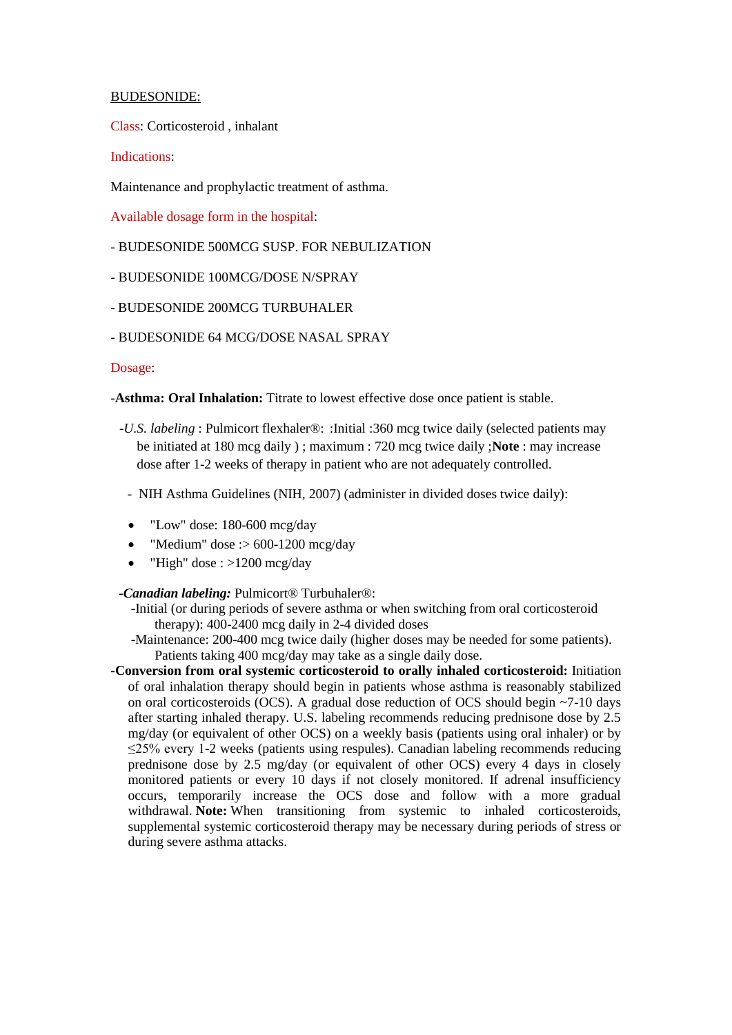## BUDESONIDE:

Class: Corticosteroid , inhalant

# Indications:

Maintenance and prophylactic treatment of asthma.

Available dosage form in the hospital:

- BUDESONIDE 500MCG SUSP. FOR NEBULIZATION
- BUDESONIDE 100MCG/DOSE N/SPRAY
- BUDESONIDE 200MCG TURBUHALER
- BUDESONIDE 64 MCG/DOSE NASAL SPRAY

## Dosage:

-**Asthma: Oral Inhalation:** Titrate to lowest effective dose once patient is stable.

- -*U.S. labeling* : Pulmicort flexhaler®: :Initial :360 mcg twice daily (selected patients may be initiated at 180 mcg daily ) ; maximum : 720 mcg twice daily ;**Note** : may increase dose after 1-2 weeks of therapy in patient who are not adequately controlled.
	- NIH Asthma Guidelines (NIH, 2007) (administer in divided doses twice daily):
	- "Low" dose: 180-600 mcg/day
	- "Medium" dose :>  $600-1200$  mcg/day
	- "High" dose : >1200 mcg/day

## *-Canadian labeling:* Pulmicort® Turbuhaler®:

- -Initial (or during periods of severe asthma or when switching from oral corticosteroid therapy): 400-2400 mcg daily in 2-4 divided doses
- -Maintenance: 200-400 mcg twice daily (higher doses may be needed for some patients). Patients taking 400 mcg/day may take as a single daily dose.
- **-Conversion from oral systemic corticosteroid to orally inhaled corticosteroid:** Initiation of oral inhalation therapy should begin in patients whose asthma is reasonably stabilized on oral corticosteroids (OCS). A gradual dose reduction of OCS should begin ~7-10 days after starting inhaled therapy. U.S. labeling recommends reducing prednisone dose by 2.5 mg/day (or equivalent of other OCS) on a weekly basis (patients using oral inhaler) or by ≤25% every 1-2 weeks (patients using respules). Canadian labeling recommends reducing prednisone dose by 2.5 mg/day (or equivalent of other OCS) every 4 days in closely monitored patients or every 10 days if not closely monitored. If adrenal insufficiency occurs, temporarily increase the OCS dose and follow with a more gradual withdrawal. **Note:** When transitioning from systemic to inhaled corticosteroids, supplemental systemic corticosteroid therapy may be necessary during periods of stress or during severe asthma attacks.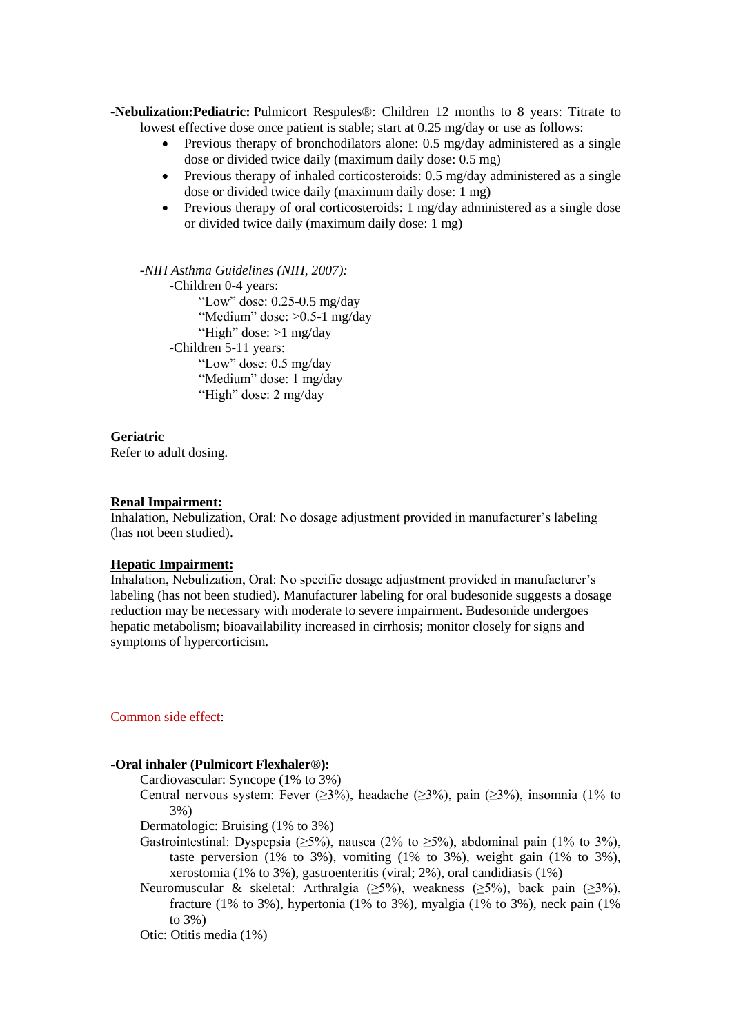**-Nebulization:Pediatric:** Pulmicort Respules®: Children 12 months to 8 years: Titrate to lowest effective dose once patient is stable; start at 0.25 mg/day or use as follows:

- Previous therapy of bronchodilators alone: 0.5 mg/day administered as a single dose or divided twice daily (maximum daily dose: 0.5 mg)
- Previous therapy of inhaled corticosteroids: 0.5 mg/day administered as a single dose or divided twice daily (maximum daily dose: 1 mg)
- Previous therapy of oral corticosteroids: 1 mg/day administered as a single dose or divided twice daily (maximum daily dose: 1 mg)

*-NIH Asthma Guidelines (NIH, 2007):* -Children 0-4 years: "Low" dose: 0.25-0.5 mg/day "Medium" dose: >0.5-1 mg/day "High" dose: >1 mg/day -Children 5-11 years: "Low" dose: 0.5 mg/day "Medium" dose: 1 mg/day "High" dose: 2 mg/day

**Geriatric** Refer to adult dosing.

#### **Renal Impairment:**

Inhalation, Nebulization, Oral: No dosage adjustment provided in manufacturer's labeling (has not been studied).

### **Hepatic Impairment:**

Inhalation, Nebulization, Oral: No specific dosage adjustment provided in manufacturer's labeling (has not been studied). Manufacturer labeling for oral budesonide suggests a dosage reduction may be necessary with moderate to severe impairment. Budesonide undergoes hepatic metabolism; bioavailability increased in cirrhosis; monitor closely for signs and symptoms of hypercorticism.

### Common side effect:

# **-Oral inhaler (Pulmicort Flexhaler®):**

Cardiovascular: Syncope (1% to 3%)

Central nervous system: Fever ( $\geq$ 3%), headache ( $\geq$ 3%), pain ( $\geq$ 3%), insomnia (1% to 3%)

Dermatologic: Bruising (1% to 3%)

- Gastrointestinal: Dyspepsia ( $>5\%$ ), nausea (2% to  $>5\%$ ), abdominal pain (1% to 3%), taste perversion  $(1\%$  to 3%), vomiting  $(1\%$  to 3%), weight gain  $(1\%$  to 3%), xerostomia (1% to 3%), gastroenteritis (viral; 2%), oral candidiasis (1%)
- Neuromuscular & skeletal: Arthralgia (≥5%), weakness (≥5%), back pain (≥3%), fracture (1% to 3%), hypertonia (1% to 3%), myalgia (1% to 3%), neck pain (1% to 3%)
- Otic: Otitis media (1%)